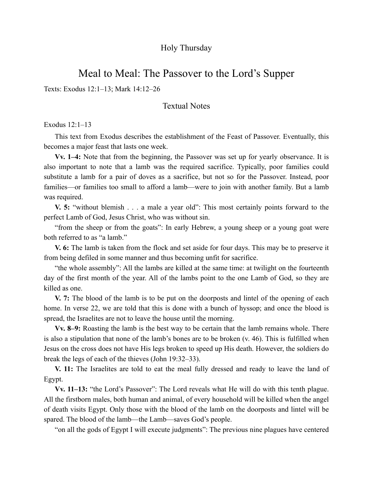# Holy Thursday

# Meal to Meal: The Passover to the Lord's Supper

Texts: Exodus 12:1–13; Mark 14:12–26

### Textual Notes

Exodus 12:1–13

This text from Exodus describes the establishment of the Feast of Passover. Eventually, this becomes a major feast that lasts one week.

**Vv. 1–4:** Note that from the beginning, the Passover was set up for yearly observance. It is also important to note that a lamb was the required sacrifice. Typically, poor families could substitute a lamb for a pair of doves as a sacrifice, but not so for the Passover. Instead, poor families—or families too small to afford a lamb—were to join with another family. But a lamb was required.

**V. 5:** "without blemish . . . a male a year old": This most certainly points forward to the perfect Lamb of God, Jesus Christ, who was without sin.

"from the sheep or from the goats": In early Hebrew, a young sheep or a young goat were both referred to as "a lamb."

**V. 6:** The lamb is taken from the flock and set aside for four days. This may be to preserve it from being defiled in some manner and thus becoming unfit for sacrifice.

"the whole assembly": All the lambs are killed at the same time: at twilight on the fourteenth day of the first month of the year. All of the lambs point to the one Lamb of God, so they are killed as one.

**V. 7:** The blood of the lamb is to be put on the doorposts and lintel of the opening of each home. In verse 22, we are told that this is done with a bunch of hyssop; and once the blood is spread, the Israelites are not to leave the house until the morning.

**Vv. 8–9:** Roasting the lamb is the best way to be certain that the lamb remains whole. There is also a stipulation that none of the lamb's bones are to be broken (v. 46). This is fulfilled when Jesus on the cross does not have His legs broken to speed up His death. However, the soldiers do break the legs of each of the thieves (John 19:32–33).

**V. 11:** The Israelites are told to eat the meal fully dressed and ready to leave the land of Egypt.

**Vv. 11–13:** "the Lord's Passover": The Lord reveals what He will do with this tenth plague. All the firstborn males, both human and animal, of every household will be killed when the angel of death visits Egypt. Only those with the blood of the lamb on the doorposts and lintel will be spared. The blood of the lamb—the Lamb—saves God's people.

"on all the gods of Egypt I will execute judgments": The previous nine plagues have centered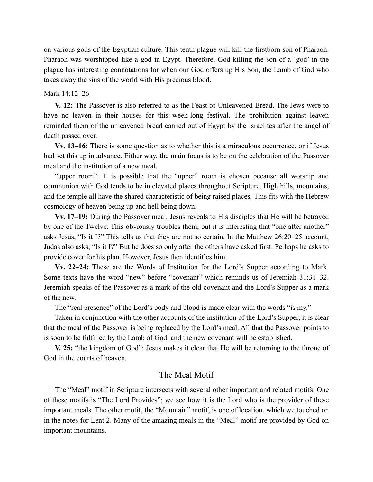on various gods of the Egyptian culture. This tenth plague will kill the firstborn son of Pharaoh. Pharaoh was worshipped like a god in Egypt. Therefore, God killing the son of a 'god' in the plague has interesting connotations for when our God offers up His Son, the Lamb of God who takes away the sins of the world with His precious blood.

#### Mark 14:12–26

**V. 12:** The Passover is also referred to as the Feast of Unleavened Bread. The Jews were to have no leaven in their houses for this week-long festival. The prohibition against leaven reminded them of the unleavened bread carried out of Egypt by the Israelites after the angel of death passed over.

**Vv. 13–16:** There is some question as to whether this is a miraculous occurrence, or if Jesus had set this up in advance. Either way, the main focus is to be on the celebration of the Passover meal and the institution of a new meal.

"upper room": It is possible that the "upper" room is chosen because all worship and communion with God tends to be in elevated places throughout Scripture. High hills, mountains, and the temple all have the shared characteristic of being raised places. This fits with the Hebrew cosmology of heaven being up and hell being down.

**Vv. 17–19:** During the Passover meal, Jesus reveals to His disciples that He will be betrayed by one of the Twelve. This obviously troubles them, but it is interesting that "one after another" asks Jesus, "Is it I?" This tells us that they are not so certain. In the Matthew 26:20–25 account, Judas also asks, "Is it I?" But he does so only after the others have asked first. Perhaps he asks to provide cover for his plan. However, Jesus then identifies him.

**Vv. 22–24:** These are the Words of Institution for the Lord's Supper according to Mark. Some texts have the word "new" before "covenant" which reminds us of Jeremiah 31:31–32. Jeremiah speaks of the Passover as a mark of the old covenant and the Lord's Supper as a mark of the new.

The "real presence" of the Lord's body and blood is made clear with the words "is my."

Taken in conjunction with the other accounts of the institution of the Lord's Supper, it is clear that the meal of the Passover is being replaced by the Lord's meal. All that the Passover points to is soon to be fulfilled by the Lamb of God, and the new covenant will be established.

**V. 25:** "the kingdom of God": Jesus makes it clear that He will be returning to the throne of God in the courts of heaven.

# The Meal Motif

The "Meal" motif in Scripture intersects with several other important and related motifs. One of these motifs is "The Lord Provides"; we see how it is the Lord who is the provider of these important meals. The other motif, the "Mountain" motif, is one of location, which we touched on in the notes for Lent 2. Many of the amazing meals in the "Meal" motif are provided by God on important mountains.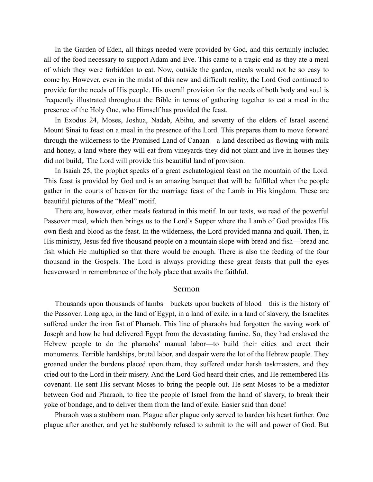In the Garden of Eden, all things needed were provided by God, and this certainly included all of the food necessary to support Adam and Eve. This came to a tragic end as they ate a meal of which they were forbidden to eat. Now, outside the garden, meals would not be so easy to come by. However, even in the midst of this new and difficult reality, the Lord God continued to provide for the needs of His people. His overall provision for the needs of both body and soul is frequently illustrated throughout the Bible in terms of gathering together to eat a meal in the presence of the Holy One, who Himself has provided the feast.

In Exodus 24, Moses, Joshua, Nadab, Abihu, and seventy of the elders of Israel ascend Mount Sinai to feast on a meal in the presence of the Lord. This prepares them to move forward through the wilderness to the Promised Land of Canaan—a land described as flowing with milk and honey, a land where they will eat from vineyards they did not plant and live in houses they did not build,. The Lord will provide this beautiful land of provision.

In Isaiah 25, the prophet speaks of a great eschatological feast on the mountain of the Lord. This feast is provided by God and is an amazing banquet that will be fulfilled when the people gather in the courts of heaven for the marriage feast of the Lamb in His kingdom. These are beautiful pictures of the "Meal" motif.

There are, however, other meals featured in this motif. In our texts, we read of the powerful Passover meal, which then brings us to the Lord's Supper where the Lamb of God provides His own flesh and blood as the feast. In the wilderness, the Lord provided manna and quail. Then, in His ministry, Jesus fed five thousand people on a mountain slope with bread and fish—bread and fish which He multiplied so that there would be enough. There is also the feeding of the four thousand in the Gospels. The Lord is always providing these great feasts that pull the eyes heavenward in remembrance of the holy place that awaits the faithful.

#### Sermon

Thousands upon thousands of lambs—buckets upon buckets of blood—this is the history of the Passover. Long ago, in the land of Egypt, in a land of exile, in a land of slavery, the Israelites suffered under the iron fist of Pharaoh. This line of pharaohs had forgotten the saving work of Joseph and how he had delivered Egypt from the devastating famine. So, they had enslaved the Hebrew people to do the pharaohs' manual labor—to build their cities and erect their monuments. Terrible hardships, brutal labor, and despair were the lot of the Hebrew people. They groaned under the burdens placed upon them, they suffered under harsh taskmasters, and they cried out to the Lord in their misery. And the Lord God heard their cries, and He remembered His covenant. He sent His servant Moses to bring the people out. He sent Moses to be a mediator between God and Pharaoh, to free the people of Israel from the hand of slavery, to break their yoke of bondage, and to deliver them from the land of exile. Easier said than done!

Pharaoh was a stubborn man. Plague after plague only served to harden his heart further. One plague after another, and yet he stubbornly refused to submit to the will and power of God. But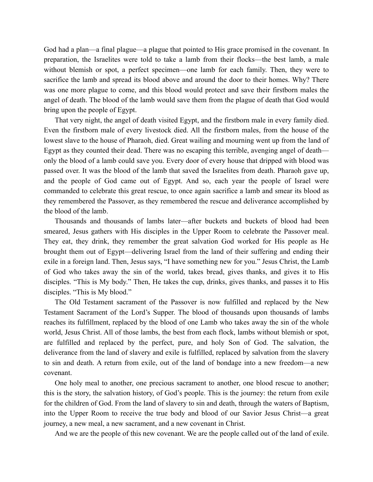God had a plan—a final plague—a plague that pointed to His grace promised in the covenant. In preparation, the Israelites were told to take a lamb from their flocks—the best lamb, a male without blemish or spot, a perfect specimen—one lamb for each family. Then, they were to sacrifice the lamb and spread its blood above and around the door to their homes. Why? There was one more plague to come, and this blood would protect and save their firstborn males the angel of death. The blood of the lamb would save them from the plague of death that God would bring upon the people of Egypt.

That very night, the angel of death visited Egypt, and the firstborn male in every family died. Even the firstborn male of every livestock died. All the firstborn males, from the house of the lowest slave to the house of Pharaoh, died. Great wailing and mourning went up from the land of Egypt as they counted their dead. There was no escaping this terrible, avenging angel of death only the blood of a lamb could save you. Every door of every house that dripped with blood was passed over. It was the blood of the lamb that saved the Israelites from death. Pharaoh gave up, and the people of God came out of Egypt. And so, each year the people of Israel were commanded to celebrate this great rescue, to once again sacrifice a lamb and smear its blood as they remembered the Passover, as they remembered the rescue and deliverance accomplished by the blood of the lamb.

Thousands and thousands of lambs later—after buckets and buckets of blood had been smeared, Jesus gathers with His disciples in the Upper Room to celebrate the Passover meal. They eat, they drink, they remember the great salvation God worked for His people as He brought them out of Egypt—delivering Israel from the land of their suffering and ending their exile in a foreign land. Then, Jesus says, "I have something new for you." Jesus Christ, the Lamb of God who takes away the sin of the world, takes bread, gives thanks, and gives it to His disciples. "This is My body." Then, He takes the cup, drinks, gives thanks, and passes it to His disciples. "This is My blood."

The Old Testament sacrament of the Passover is now fulfilled and replaced by the New Testament Sacrament of the Lord's Supper. The blood of thousands upon thousands of lambs reaches its fulfillment, replaced by the blood of one Lamb who takes away the sin of the whole world, Jesus Christ. All of those lambs, the best from each flock, lambs without blemish or spot, are fulfilled and replaced by the perfect, pure, and holy Son of God. The salvation, the deliverance from the land of slavery and exile is fulfilled, replaced by salvation from the slavery to sin and death. A return from exile, out of the land of bondage into a new freedom—a new covenant.

One holy meal to another, one precious sacrament to another, one blood rescue to another; this is the story, the salvation history, of God's people. This is the journey: the return from exile for the children of God. From the land of slavery to sin and death, through the waters of Baptism, into the Upper Room to receive the true body and blood of our Savior Jesus Christ—a great journey, a new meal, a new sacrament, and a new covenant in Christ.

And we are the people of this new covenant. We are the people called out of the land of exile.